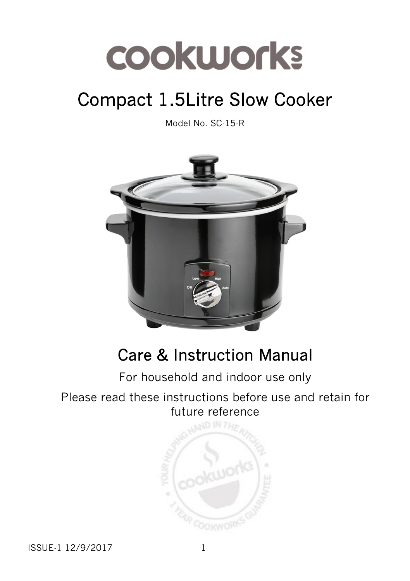# Compact 1.5Litre Slow Cooker

Model No. SC-15-R



# Care & Instruction Manual

## For household and indoor use only

#### Please read these instructions before use and retain for future reference

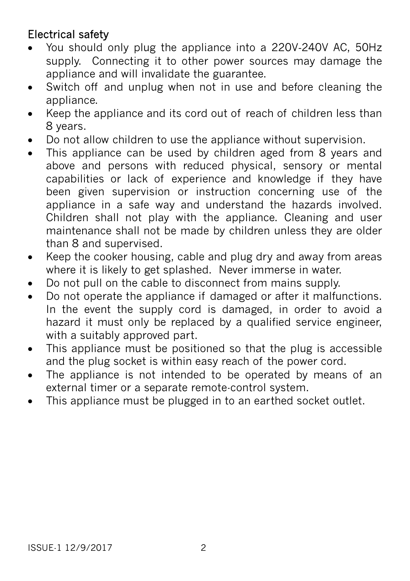### Electrical safety

- You should only plug the appliance into a 220V‐240V AC, 50Hz supply. Connecting it to other power sources may damage the appliance and will invalidate the guarantee.
- Switch off and unplug when not in use and before cleaning the appliance.
- Keep the appliance and its cord out of reach of children less than 8 years.
- Do not allow children to use the appliance without supervision.
- This appliance can be used by children aged from 8 years and above and persons with reduced physical, sensory or mental capabilities or lack of experience and knowledge if they have been given supervision or instruction concerning use of the appliance in a safe way and understand the hazards involved. Children shall not play with the appliance. Cleaning and user maintenance shall not be made by children unless they are older than 8 and supervised.
- Keep the cooker housing, cable and plug dry and away from areas where it is likely to get splashed. Never immerse in water.
- Do not pull on the cable to disconnect from mains supply.
- Do not operate the appliance if damaged or after it malfunctions. In the event the supply cord is damaged, in order to avoid a hazard it must only be replaced by a qualified service engineer, with a suitably approved part.
- This appliance must be positioned so that the plug is accessible and the plug socket is within easy reach of the power cord.
- The appliance is not intended to be operated by means of an external timer or a separate remote-control system.
- This appliance must be plugged in to an earthed socket outlet.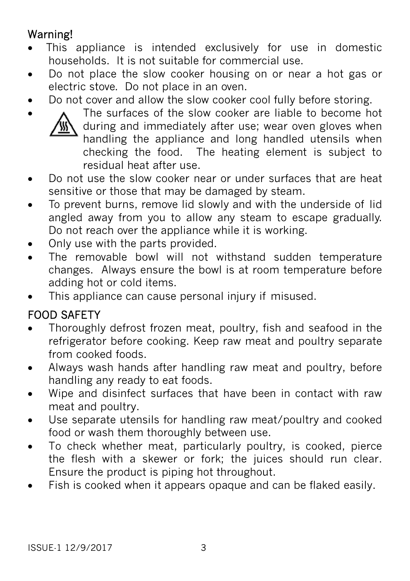# Warning!

- This appliance is intended exclusively for use in domestic households. It is not suitable for commercial use.
- Do not place the slow cooker housing on or near a hot gas or electric stove. Do not place in an oven.
- Do not cover and allow the slow cooker cool fully before storing.



 The surfaces of the slow cooker are liable to become hot during and immediately after use; wear oven gloves when handling the appliance and long handled utensils when checking the food. The heating element is subject to residual heat after use.

- Do not use the slow cooker near or under surfaces that are heat sensitive or those that may be damaged by steam.
- To prevent burns, remove lid slowly and with the underside of lid angled away from you to allow any steam to escape gradually. Do not reach over the appliance while it is working.
- Only use with the parts provided.
- The removable bowl will not withstand sudden temperature changes. Always ensure the bowl is at room temperature before adding hot or cold items.
- This appliance can cause personal injury if misused.

## FOOD SAFETY

- Thoroughly defrost frozen meat, poultry, fish and seafood in the refrigerator before cooking. Keep raw meat and poultry separate from cooked foods.
- Always wash hands after handling raw meat and poultry, before handling any ready to eat foods.
- Wipe and disinfect surfaces that have been in contact with raw meat and poultry.
- Use separate utensils for handling raw meat/poultry and cooked food or wash them thoroughly between use.
- To check whether meat, particularly poultry, is cooked, pierce the flesh with a skewer or fork; the juices should run clear. Ensure the product is piping hot throughout.
- Fish is cooked when it appears opaque and can be flaked easily.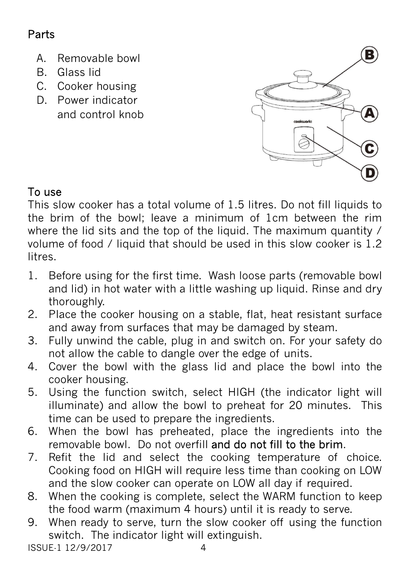# Parts

- A. Removable bowl
- B. Glass lid
- C. Cooker housing
- D. Power indicator and control knob



This slow cooker has a total volume of 1.5 litres. Do not fill liquids to the brim of the bowl; leave a minimum of 1cm between the rim where the lid sits and the top of the liquid. The maximum quantity / volume of food / liquid that should be used in this slow cooker is 1.2 **litres** 

- 1. Before using for the first time. Wash loose parts (removable bowl and lid) in hot water with a little washing up liquid. Rinse and dry thoroughly.
- 2. Place the cooker housing on a stable, flat, heat resistant surface and away from surfaces that may be damaged by steam.
- 3. Fully unwind the cable, plug in and switch on. For your safety do not allow the cable to dangle over the edge of units.
- 4. Cover the bowl with the glass lid and place the bowl into the cooker housing.
- 5. Using the function switch, select HIGH (the indicator light will illuminate) and allow the bowl to preheat for 20 minutes. This time can be used to prepare the ingredients.
- 6. When the bowl has preheated, place the ingredients into the removable bowl. Do not overfill and do not fill to the brim.
- 7. Refit the lid and select the cooking temperature of choice. Cooking food on HIGH will require less time than cooking on LOW and the slow cooker can operate on LOW all day if required.
- 8. When the cooking is complete, select the WARM function to keep the food warm (maximum 4 hours) until it is ready to serve.
- 9. When ready to serve, turn the slow cooker off using the function switch. The indicator light will extinguish.

ISSUE-1 12/9/2017 4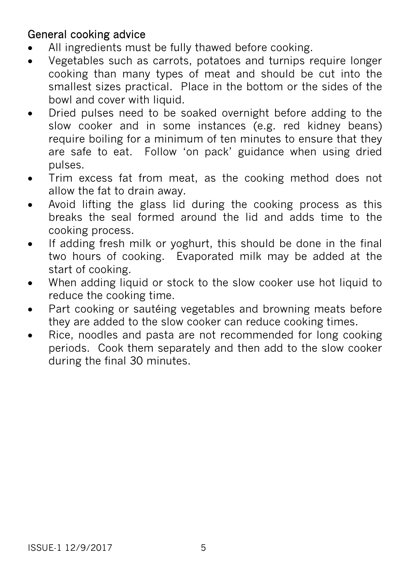#### General cooking advice

- All ingredients must be fully thawed before cooking.
- Vegetables such as carrots, potatoes and turnips require longer cooking than many types of meat and should be cut into the smallest sizes practical. Place in the bottom or the sides of the bowl and cover with liquid.
- Dried pulses need to be soaked overnight before adding to the slow cooker and in some instances (e.g. red kidney beans) require boiling for a minimum of ten minutes to ensure that they are safe to eat. Follow 'on pack' guidance when using dried pulses.
- Trim excess fat from meat, as the cooking method does not allow the fat to drain away.
- Avoid lifting the glass lid during the cooking process as this breaks the seal formed around the lid and adds time to the cooking process.
- If adding fresh milk or yoghurt, this should be done in the final two hours of cooking. Evaporated milk may be added at the start of cooking.
- When adding liquid or stock to the slow cooker use hot liquid to reduce the cooking time.
- Part cooking or sautéing vegetables and browning meats before they are added to the slow cooker can reduce cooking times.
- Rice, noodles and pasta are not recommended for long cooking periods. Cook them separately and then add to the slow cooker during the final 30 minutes.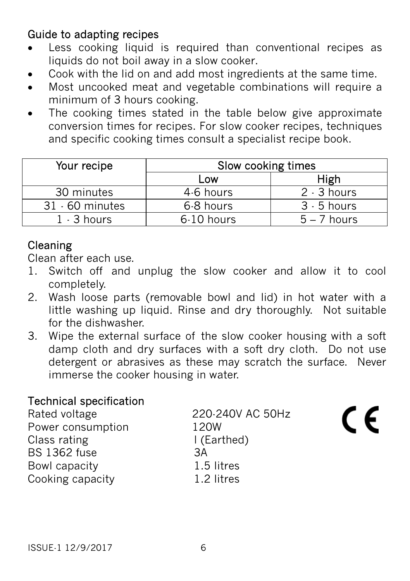#### Guide to adapting recipes

- Less cooking liquid is required than conventional recipes as liquids do not boil away in a slow cooker.
- Cook with the lid on and add most ingredients at the same time.
- Most uncooked meat and vegetable combinations will require a minimum of 3 hours cooking.
- The cooking times stated in the table below give approximate conversion times for recipes. For slow cooker recipes, techniques and specific cooking times consult a specialist recipe book.

| Your recipe       | Slow cooking times |               |
|-------------------|--------------------|---------------|
|                   | Low                | High          |
| 30 minutes        | 4.6 hours          | $2 - 3$ hours |
| $31 - 60$ minutes | 6-8 hours          | $3 - 5$ hours |
| $1 - 3$ hours     | 6-10 hours         | $5 - 7$ hours |

### Cleaning

Clean after each use.

- 1. Switch off and unplug the slow cooker and allow it to cool completely.
- 2. Wash loose parts (removable bowl and lid) in hot water with a little washing up liquid. Rinse and dry thoroughly. Not suitable for the dishwasher.
- 3. Wipe the external surface of the slow cooker housing with a soft damp cloth and dry surfaces with a soft dry cloth. Do not use detergent or abrasives as these may scratch the surface. Never immerse the cooker housing in water.

#### Technical specification

| Rated voltage       | 220-240V AC 50Hz |  |
|---------------------|------------------|--|
| Power consumption   | 120W             |  |
| Class rating        | I (Earthed)      |  |
| <b>BS 1362 fuse</b> | ЗA               |  |
| Bowl capacity       | 1.5 litres       |  |
| Cooking capacity    | 1.2 litres       |  |
|                     |                  |  |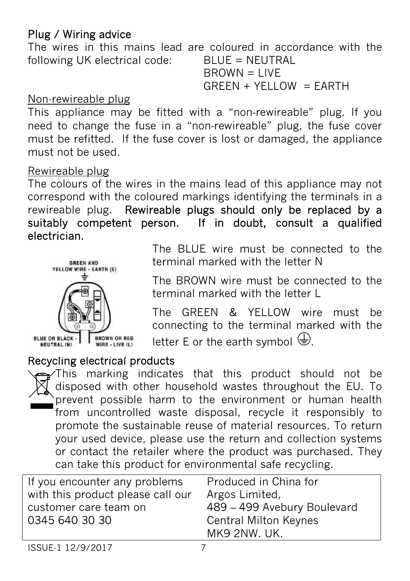#### Plug / Wiring advice

The wires in this mains lead are coloured in accordance with the following UK electrical code: BLUE = NEUTRAL  $B$ R $OWN = I$  IVF

 $GREEN + YELLOW = EARTH$ 

#### Non-rewireable plug

This appliance may be fitted with a "non-rewireable" plug. If you need to change the fuse in a "non‐rewireable" plug, the fuse cover must be refitted. If the fuse cover is lost or damaged, the appliance must not be used.

#### Rewireable plug

The colours of the wires in the mains lead of this appliance may not correspond with the coloured markings identifying the terminals in a rewireable plug. Rewireable plugs should only be replaced by a suitably competent person. If in doubt, consult a qualified electrician.



The BLUE wire must be connected to the terminal marked with the letter N

The BROWN wire must be connected to the terminal marked with the letter L

The GREEN & YELLOW wire must be connecting to the terminal marked with the letter E or the earth symbol  $\bigoplus$ .

#### Recycling electrical products

This marking indicates that this product should not be disposed with other household wastes throughout the EU. To prevent possible harm to the environment or human health from uncontrolled waste disposal, recycle it responsibly to promote the sustainable reuse of material resources. To return your used device, please use the return and collection systems or contact the retailer where the product was purchased. They can take this product for environmental safe recycling.

| If you encounter any problems     | Produced in China for                        |
|-----------------------------------|----------------------------------------------|
| with this product please call our | Argos Limited,                               |
| customer care team on             | 489 - 499 Avebury Boulevard                  |
| 0345 640 30 30                    | <b>Central Milton Keynes</b><br>MK9 2NW. UK. |